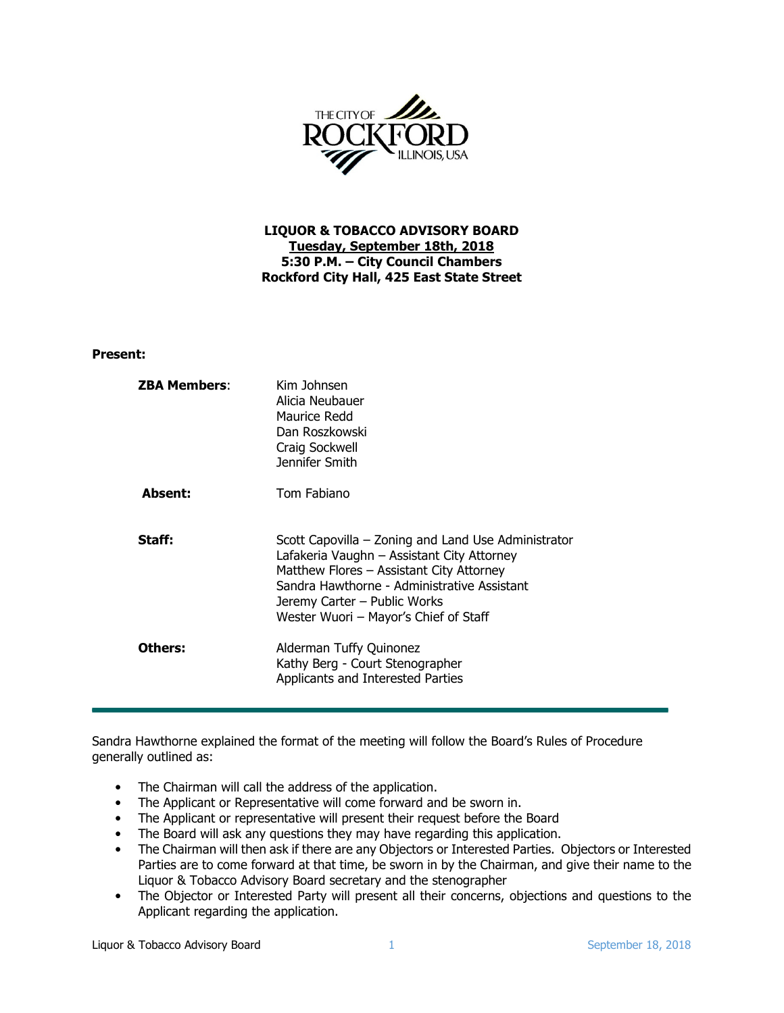

## LIQUOR & TOBACCO ADVISORY BOARD Tuesday, September 18th, 2018 5:30 P.M. – City Council Chambers Rockford City Hall, 425 East State Street

## Present:

| <b>ZBA Members:</b> | Kim Johnsen<br>Alicia Neubauer<br>Maurice Redd<br>Dan Roszkowski<br>Craig Sockwell<br>Jennifer Smith                                                                                                                                                                  |
|---------------------|-----------------------------------------------------------------------------------------------------------------------------------------------------------------------------------------------------------------------------------------------------------------------|
| Absent:             | Tom Fabiano                                                                                                                                                                                                                                                           |
| Staff:              | Scott Capovilla – Zoning and Land Use Administrator<br>Lafakeria Vaughn – Assistant City Attorney<br>Matthew Flores - Assistant City Attorney<br>Sandra Hawthorne - Administrative Assistant<br>Jeremy Carter – Public Works<br>Wester Wuori - Mayor's Chief of Staff |
| Others:             | Alderman Tuffy Quinonez<br>Kathy Berg - Court Stenographer<br>Applicants and Interested Parties                                                                                                                                                                       |

Sandra Hawthorne explained the format of the meeting will follow the Board's Rules of Procedure generally outlined as:

- The Chairman will call the address of the application.
- The Applicant or Representative will come forward and be sworn in.
- The Applicant or representative will present their request before the Board
- The Board will ask any questions they may have regarding this application.
- The Chairman will then ask if there are any Objectors or Interested Parties. Objectors or Interested Parties are to come forward at that time, be sworn in by the Chairman, and give their name to the Liquor & Tobacco Advisory Board secretary and the stenographer
- The Objector or Interested Party will present all their concerns, objections and questions to the Applicant regarding the application.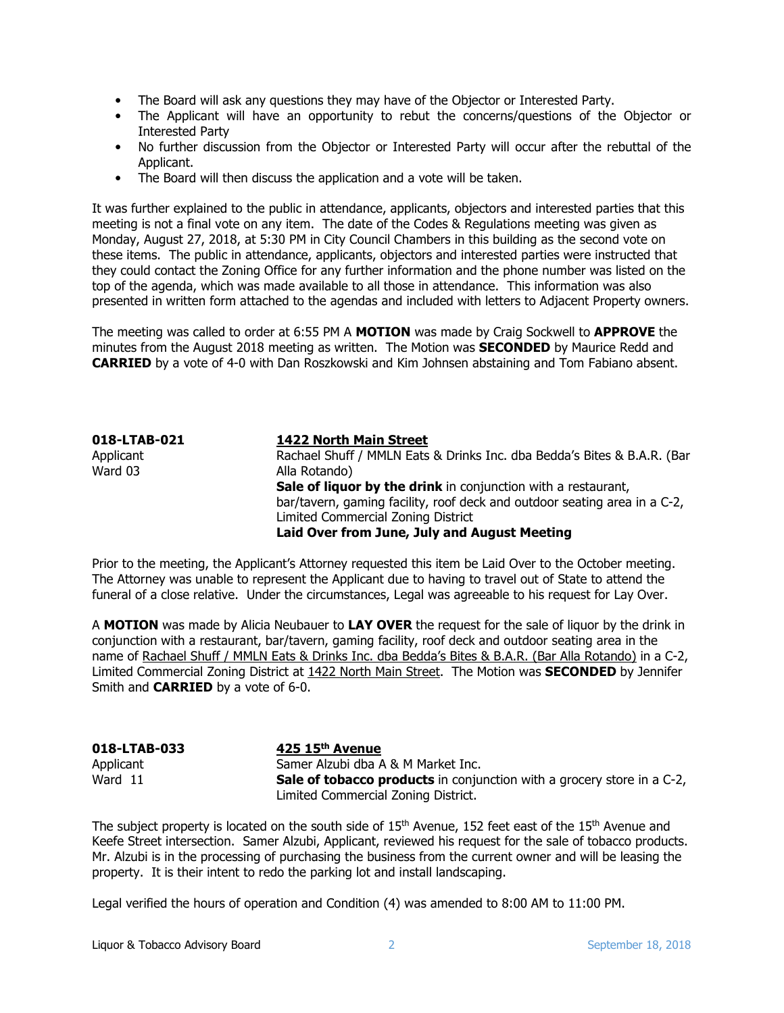- The Board will ask any questions they may have of the Objector or Interested Party.
- The Applicant will have an opportunity to rebut the concerns/questions of the Objector or Interested Party
- No further discussion from the Objector or Interested Party will occur after the rebuttal of the Applicant.
- The Board will then discuss the application and a vote will be taken.

It was further explained to the public in attendance, applicants, objectors and interested parties that this meeting is not a final vote on any item. The date of the Codes & Regulations meeting was given as Monday, August 27, 2018, at 5:30 PM in City Council Chambers in this building as the second vote on these items. The public in attendance, applicants, objectors and interested parties were instructed that they could contact the Zoning Office for any further information and the phone number was listed on the top of the agenda, which was made available to all those in attendance. This information was also presented in written form attached to the agendas and included with letters to Adjacent Property owners.

The meeting was called to order at 6:55 PM A MOTION was made by Craig Sockwell to APPROVE the minutes from the August 2018 meeting as written. The Motion was **SECONDED** by Maurice Redd and CARRIED by a vote of 4-0 with Dan Roszkowski and Kim Johnsen abstaining and Tom Fabiano absent.

| 018-LTAB-021 | 1422 North Main Street                                                    |
|--------------|---------------------------------------------------------------------------|
| Applicant    | Rachael Shuff / MMLN Eats & Drinks Inc. dba Bedda's Bites & B.A.R. (Bar   |
| Ward 03      | Alla Rotando)                                                             |
|              | Sale of liquor by the drink in conjunction with a restaurant,             |
|              | bar/tavern, gaming facility, roof deck and outdoor seating area in a C-2, |
|              | Limited Commercial Zoning District                                        |
|              | Laid Over from June, July and August Meeting                              |

Prior to the meeting, the Applicant's Attorney requested this item be Laid Over to the October meeting. The Attorney was unable to represent the Applicant due to having to travel out of State to attend the funeral of a close relative. Under the circumstances, Legal was agreeable to his request for Lay Over.

A MOTION was made by Alicia Neubauer to LAY OVER the request for the sale of liquor by the drink in conjunction with a restaurant, bar/tavern, gaming facility, roof deck and outdoor seating area in the name of Rachael Shuff / MMLN Eats & Drinks Inc. dba Bedda's Bites & B.A.R. (Bar Alla Rotando) in a C-2, Limited Commercial Zoning District at 1422 North Main Street. The Motion was **SECONDED** by Jennifer Smith and **CARRIED** by a vote of 6-0.

| 018-LTAB-033 | $425$ 15 <sup>th</sup> Avenue                                                 |
|--------------|-------------------------------------------------------------------------------|
| Applicant    | Samer Alzubi dba A & M Market Inc.                                            |
| Ward 11      | <b>Sale of tobacco products</b> in conjunction with a grocery store in a C-2, |
|              | Limited Commercial Zoning District.                                           |

The subject property is located on the south side of 15<sup>th</sup> Avenue, 152 feet east of the 15<sup>th</sup> Avenue and Keefe Street intersection. Samer Alzubi, Applicant, reviewed his request for the sale of tobacco products. Mr. Alzubi is in the processing of purchasing the business from the current owner and will be leasing the property. It is their intent to redo the parking lot and install landscaping.

Legal verified the hours of operation and Condition (4) was amended to 8:00 AM to 11:00 PM.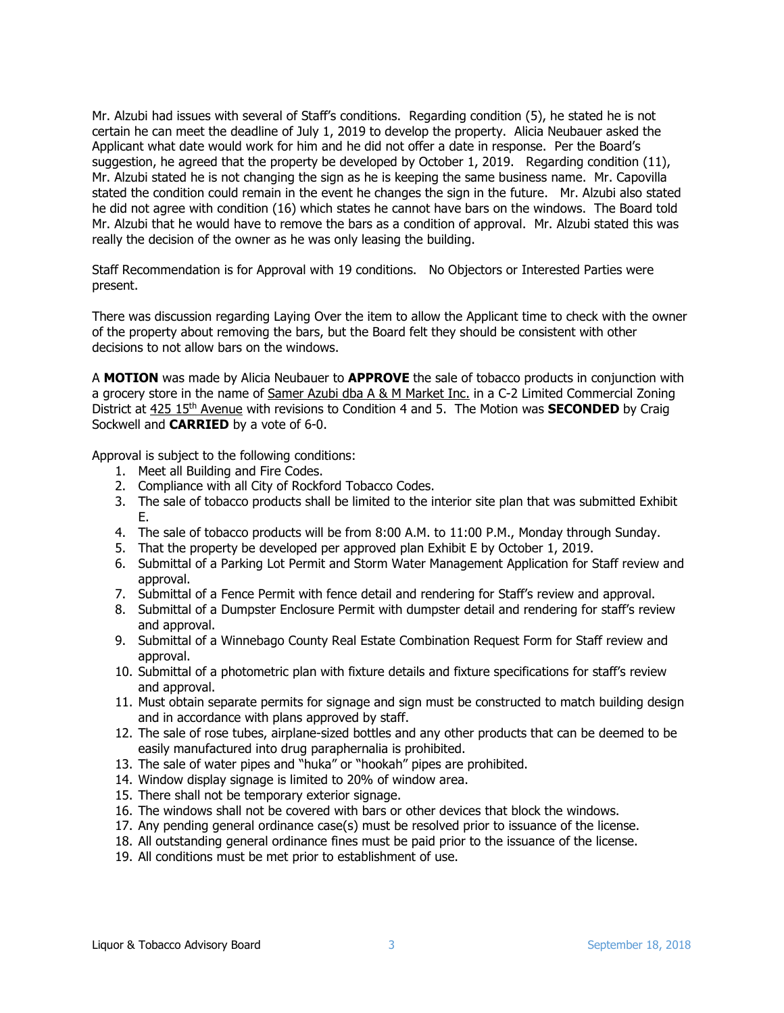Mr. Alzubi had issues with several of Staff's conditions. Regarding condition (5), he stated he is not certain he can meet the deadline of July 1, 2019 to develop the property. Alicia Neubauer asked the Applicant what date would work for him and he did not offer a date in response. Per the Board's suggestion, he agreed that the property be developed by October 1, 2019. Regarding condition (11), Mr. Alzubi stated he is not changing the sign as he is keeping the same business name. Mr. Capovilla stated the condition could remain in the event he changes the sign in the future. Mr. Alzubi also stated he did not agree with condition (16) which states he cannot have bars on the windows. The Board told Mr. Alzubi that he would have to remove the bars as a condition of approval. Mr. Alzubi stated this was really the decision of the owner as he was only leasing the building.

Staff Recommendation is for Approval with 19 conditions. No Objectors or Interested Parties were present.

There was discussion regarding Laying Over the item to allow the Applicant time to check with the owner of the property about removing the bars, but the Board felt they should be consistent with other decisions to not allow bars on the windows.

A MOTION was made by Alicia Neubauer to APPROVE the sale of tobacco products in conjunction with a grocery store in the name of Samer Azubi dba A & M Market Inc. in a C-2 Limited Commercial Zoning District at 425 15<sup>th</sup> Avenue with revisions to Condition 4 and 5. The Motion was **SECONDED** by Craig Sockwell and **CARRIED** by a vote of 6-0.

Approval is subject to the following conditions:

- 1. Meet all Building and Fire Codes.
- 2. Compliance with all City of Rockford Tobacco Codes.
- 3. The sale of tobacco products shall be limited to the interior site plan that was submitted Exhibit E.
- 4. The sale of tobacco products will be from 8:00 A.M. to 11:00 P.M., Monday through Sunday.
- 5. That the property be developed per approved plan Exhibit E by October 1, 2019.
- 6. Submittal of a Parking Lot Permit and Storm Water Management Application for Staff review and approval.
- 7. Submittal of a Fence Permit with fence detail and rendering for Staff's review and approval.
- 8. Submittal of a Dumpster Enclosure Permit with dumpster detail and rendering for staff's review and approval.
- 9. Submittal of a Winnebago County Real Estate Combination Request Form for Staff review and approval.
- 10. Submittal of a photometric plan with fixture details and fixture specifications for staff's review and approval.
- 11. Must obtain separate permits for signage and sign must be constructed to match building design and in accordance with plans approved by staff.
- 12. The sale of rose tubes, airplane-sized bottles and any other products that can be deemed to be easily manufactured into drug paraphernalia is prohibited.
- 13. The sale of water pipes and "huka" or "hookah" pipes are prohibited.
- 14. Window display signage is limited to 20% of window area.
- 15. There shall not be temporary exterior signage.
- 16. The windows shall not be covered with bars or other devices that block the windows.
- 17. Any pending general ordinance case(s) must be resolved prior to issuance of the license.
- 18. All outstanding general ordinance fines must be paid prior to the issuance of the license.
- 19. All conditions must be met prior to establishment of use.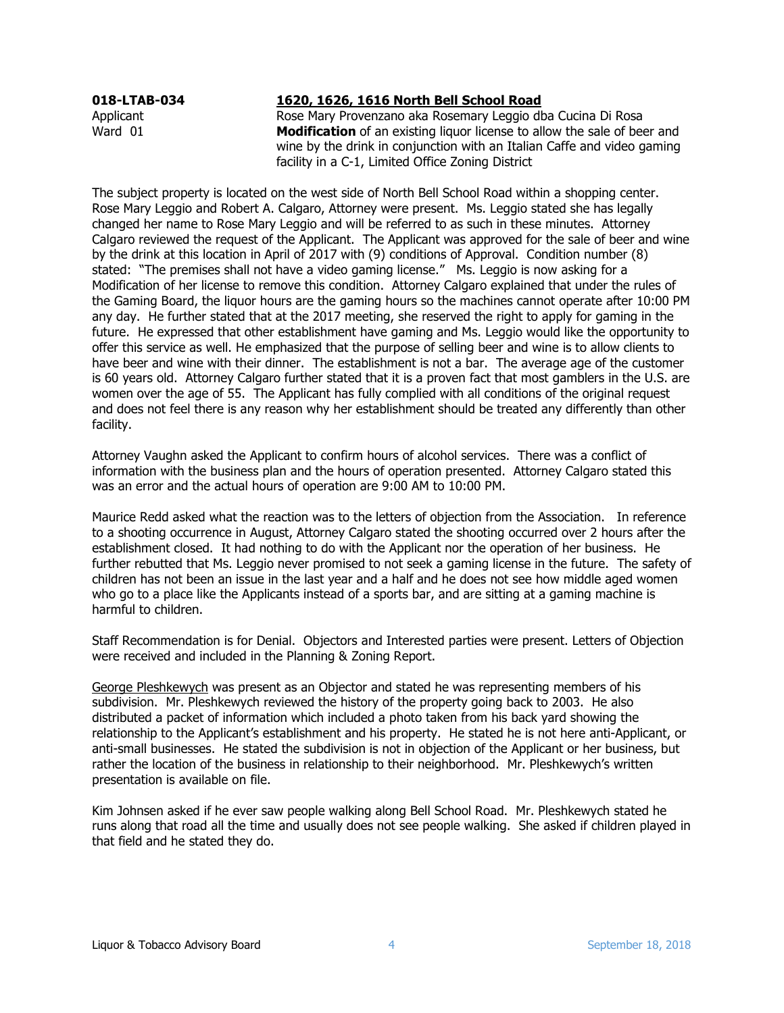## 018-LTAB-034 1620, 1626, 1616 North Bell School Road

Applicant Rose Mary Provenzano aka Rosemary Leggio dba Cucina Di Rosa Ward 01 Modification of an existing liquor license to allow the sale of beer and wine by the drink in conjunction with an Italian Caffe and video gaming facility in a C-1, Limited Office Zoning District

The subject property is located on the west side of North Bell School Road within a shopping center. Rose Mary Leggio and Robert A. Calgaro, Attorney were present. Ms. Leggio stated she has legally changed her name to Rose Mary Leggio and will be referred to as such in these minutes. Attorney Calgaro reviewed the request of the Applicant. The Applicant was approved for the sale of beer and wine by the drink at this location in April of 2017 with (9) conditions of Approval. Condition number (8) stated: "The premises shall not have a video gaming license." Ms. Leggio is now asking for a Modification of her license to remove this condition. Attorney Calgaro explained that under the rules of the Gaming Board, the liquor hours are the gaming hours so the machines cannot operate after 10:00 PM any day. He further stated that at the 2017 meeting, she reserved the right to apply for gaming in the future. He expressed that other establishment have gaming and Ms. Leggio would like the opportunity to offer this service as well. He emphasized that the purpose of selling beer and wine is to allow clients to have beer and wine with their dinner. The establishment is not a bar. The average age of the customer is 60 years old. Attorney Calgaro further stated that it is a proven fact that most gamblers in the U.S. are women over the age of 55. The Applicant has fully complied with all conditions of the original request and does not feel there is any reason why her establishment should be treated any differently than other facility.

Attorney Vaughn asked the Applicant to confirm hours of alcohol services. There was a conflict of information with the business plan and the hours of operation presented. Attorney Calgaro stated this was an error and the actual hours of operation are 9:00 AM to 10:00 PM.

Maurice Redd asked what the reaction was to the letters of objection from the Association. In reference to a shooting occurrence in August, Attorney Calgaro stated the shooting occurred over 2 hours after the establishment closed. It had nothing to do with the Applicant nor the operation of her business. He further rebutted that Ms. Leggio never promised to not seek a gaming license in the future. The safety of children has not been an issue in the last year and a half and he does not see how middle aged women who go to a place like the Applicants instead of a sports bar, and are sitting at a gaming machine is harmful to children.

Staff Recommendation is for Denial. Objectors and Interested parties were present. Letters of Objection were received and included in the Planning & Zoning Report.

George Pleshkewych was present as an Objector and stated he was representing members of his subdivision. Mr. Pleshkewych reviewed the history of the property going back to 2003. He also distributed a packet of information which included a photo taken from his back yard showing the relationship to the Applicant's establishment and his property. He stated he is not here anti-Applicant, or anti-small businesses. He stated the subdivision is not in objection of the Applicant or her business, but rather the location of the business in relationship to their neighborhood. Mr. Pleshkewych's written presentation is available on file.

Kim Johnsen asked if he ever saw people walking along Bell School Road. Mr. Pleshkewych stated he runs along that road all the time and usually does not see people walking. She asked if children played in that field and he stated they do.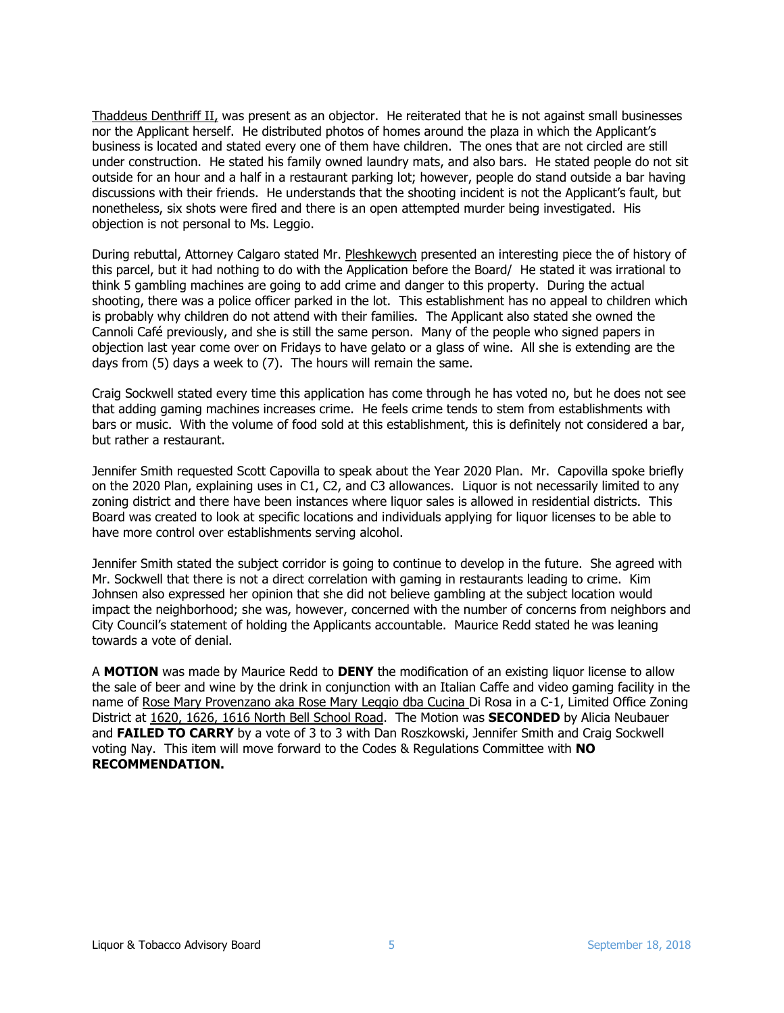Thaddeus Denthriff II, was present as an objector. He reiterated that he is not against small businesses nor the Applicant herself. He distributed photos of homes around the plaza in which the Applicant's business is located and stated every one of them have children. The ones that are not circled are still under construction. He stated his family owned laundry mats, and also bars. He stated people do not sit outside for an hour and a half in a restaurant parking lot; however, people do stand outside a bar having discussions with their friends. He understands that the shooting incident is not the Applicant's fault, but nonetheless, six shots were fired and there is an open attempted murder being investigated. His objection is not personal to Ms. Leggio.

During rebuttal, Attorney Calgaro stated Mr. Pleshkewych presented an interesting piece the of history of this parcel, but it had nothing to do with the Application before the Board/ He stated it was irrational to think 5 gambling machines are going to add crime and danger to this property. During the actual shooting, there was a police officer parked in the lot. This establishment has no appeal to children which is probably why children do not attend with their families. The Applicant also stated she owned the Cannoli Café previously, and she is still the same person. Many of the people who signed papers in objection last year come over on Fridays to have gelato or a glass of wine. All she is extending are the days from (5) days a week to (7). The hours will remain the same.

Craig Sockwell stated every time this application has come through he has voted no, but he does not see that adding gaming machines increases crime. He feels crime tends to stem from establishments with bars or music. With the volume of food sold at this establishment, this is definitely not considered a bar, but rather a restaurant.

Jennifer Smith requested Scott Capovilla to speak about the Year 2020 Plan. Mr. Capovilla spoke briefly on the 2020 Plan, explaining uses in C1, C2, and C3 allowances. Liquor is not necessarily limited to any zoning district and there have been instances where liquor sales is allowed in residential districts. This Board was created to look at specific locations and individuals applying for liquor licenses to be able to have more control over establishments serving alcohol.

Jennifer Smith stated the subject corridor is going to continue to develop in the future. She agreed with Mr. Sockwell that there is not a direct correlation with gaming in restaurants leading to crime. Kim Johnsen also expressed her opinion that she did not believe gambling at the subject location would impact the neighborhood; she was, however, concerned with the number of concerns from neighbors and City Council's statement of holding the Applicants accountable. Maurice Redd stated he was leaning towards a vote of denial.

A **MOTION** was made by Maurice Redd to **DENY** the modification of an existing liguor license to allow the sale of beer and wine by the drink in conjunction with an Italian Caffe and video gaming facility in the name of Rose Mary Provenzano aka Rose Mary Leggio dba Cucina Di Rosa in a C-1, Limited Office Zoning District at 1620, 1626, 1616 North Bell School Road. The Motion was SECONDED by Alicia Neubauer and FAILED TO CARRY by a vote of 3 to 3 with Dan Roszkowski, Jennifer Smith and Craig Sockwell voting Nay. This item will move forward to the Codes & Regulations Committee with NO RECOMMENDATION.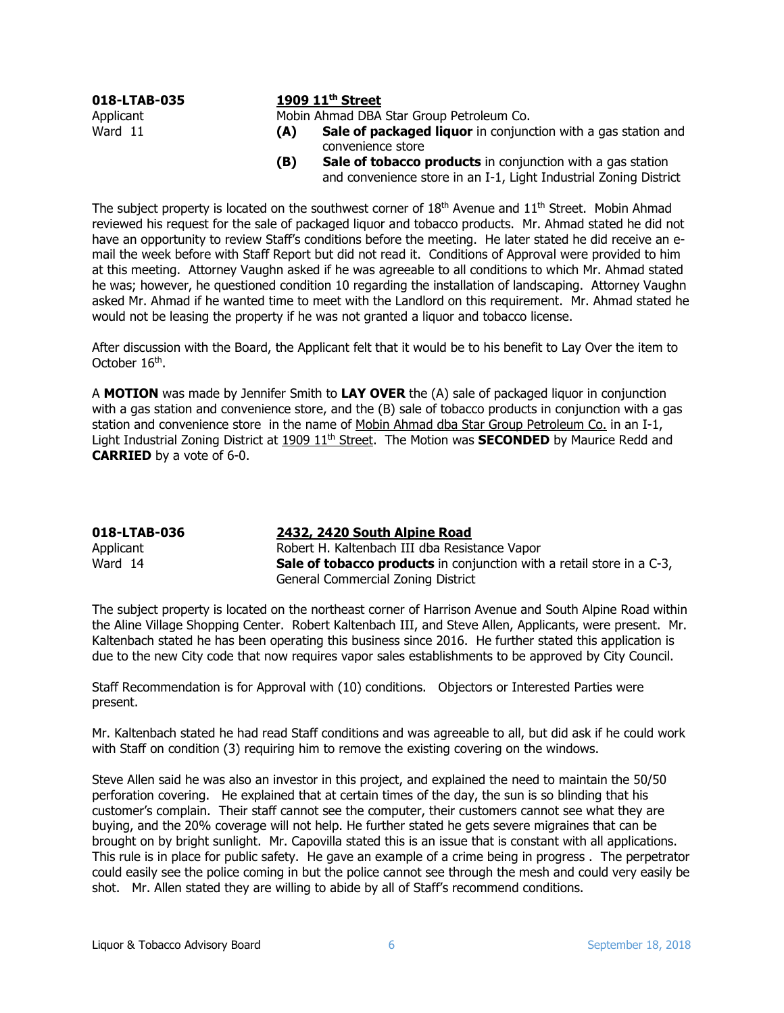|           | 018-LTAB-035 |
|-----------|--------------|
| Applicant |              |
| Ward 11   |              |

## 1909 11<sup>th</sup> Street

Mobin Ahmad DBA Star Group Petroleum Co.

- (A) Sale of packaged liquor in conjunction with a gas station and convenience store
- (B) Sale of tobacco products in conjunction with a gas station and convenience store in an I-1, Light Industrial Zoning District

The subject property is located on the southwest corner of  $18<sup>th</sup>$  Avenue and  $11<sup>th</sup>$  Street. Mobin Ahmad reviewed his request for the sale of packaged liquor and tobacco products. Mr. Ahmad stated he did not have an opportunity to review Staff's conditions before the meeting. He later stated he did receive an email the week before with Staff Report but did not read it. Conditions of Approval were provided to him at this meeting. Attorney Vaughn asked if he was agreeable to all conditions to which Mr. Ahmad stated he was; however, he questioned condition 10 regarding the installation of landscaping. Attorney Vaughn asked Mr. Ahmad if he wanted time to meet with the Landlord on this requirement. Mr. Ahmad stated he would not be leasing the property if he was not granted a liquor and tobacco license.

After discussion with the Board, the Applicant felt that it would be to his benefit to Lay Over the item to October 16<sup>th</sup>.

A MOTION was made by Jennifer Smith to LAY OVER the (A) sale of packaged liquor in conjunction with a gas station and convenience store, and the (B) sale of tobacco products in conjunction with a gas station and convenience store in the name of Mobin Ahmad dba Star Group Petroleum Co. in an I-1, Light Industrial Zoning District at  $1909\ 11<sup>th</sup>$  Street. The Motion was **SECONDED** by Maurice Redd and CARRIED by a vote of 6-0.

| 018-LTAB-036 | 2432, 2420 South Alpine Road                                                 |
|--------------|------------------------------------------------------------------------------|
| Applicant    | Robert H. Kaltenbach III dba Resistance Vapor                                |
| Ward 14      | <b>Sale of tobacco products</b> in conjunction with a retail store in a C-3, |
|              | General Commercial Zoning District                                           |

The subject property is located on the northeast corner of Harrison Avenue and South Alpine Road within the Aline Village Shopping Center. Robert Kaltenbach III, and Steve Allen, Applicants, were present. Mr. Kaltenbach stated he has been operating this business since 2016. He further stated this application is due to the new City code that now requires vapor sales establishments to be approved by City Council.

Staff Recommendation is for Approval with (10) conditions. Objectors or Interested Parties were present.

Mr. Kaltenbach stated he had read Staff conditions and was agreeable to all, but did ask if he could work with Staff on condition (3) requiring him to remove the existing covering on the windows.

Steve Allen said he was also an investor in this project, and explained the need to maintain the 50/50 perforation covering. He explained that at certain times of the day, the sun is so blinding that his customer's complain. Their staff cannot see the computer, their customers cannot see what they are buying, and the 20% coverage will not help. He further stated he gets severe migraines that can be brought on by bright sunlight. Mr. Capovilla stated this is an issue that is constant with all applications. This rule is in place for public safety. He gave an example of a crime being in progress . The perpetrator could easily see the police coming in but the police cannot see through the mesh and could very easily be shot. Mr. Allen stated they are willing to abide by all of Staff's recommend conditions.